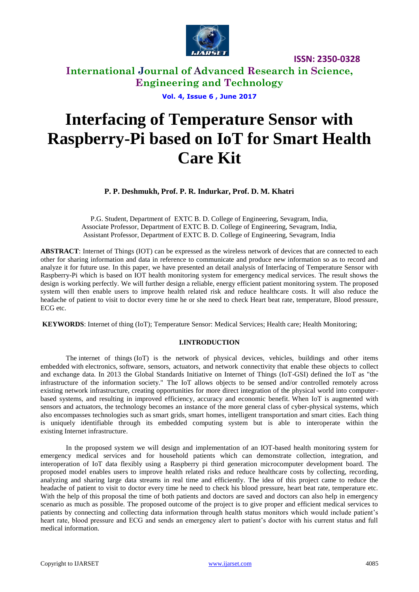

# **International Journal of Advanced Research in Science, Engineering and Technology**

**Vol. 4, Issue 6 , June 2017**

# **Interfacing of Temperature Sensor with Raspberry-Pi based on IoT for Smart Health Care Kit**

**P. P. Deshmukh, Prof. P. R. Indurkar, Prof. D. M. Khatri**

P.G. Student, Department of EXTC B. D. College of Engineering, Sevagram, India, Associate Professor, Department of EXTC B. D. College of Engineering, Sevagram, India, Assistant Professor, Department of EXTC B. D. College of Engineering, Sevagram, India

**ABSTRACT**: Internet of Things (IOT) can be expressed as the wireless network of devices that are connected to each other for sharing information and data in reference to communicate and produce new information so as to record and analyze it for future use. In this paper, we have presented an detail analysis of Interfacing of Temperature Sensor with Raspberry-Pi which is based on IOT health monitoring system for emergency medical services. The result shows the design is working perfectly. We will further design a reliable, energy efficient patient monitoring system. The proposed system will then enable users to improve health related risk and reduce healthcare costs. It will also reduce the headache of patient to visit to doctor every time he or she need to check Heart beat rate, temperature, Blood pressure, ECG etc.

**KEYWORDS**: Internet of thing (IoT); Temperature Sensor: Medical Services; Health care; Health Monitoring;

### **I.INTRODUCTION**

The internet of things (IoT) is the network of physical devices, vehicles, buildings and other items [embedded](https://en.wikipedia.org/wiki/Embedded_system) with [electronics,](https://en.wikipedia.org/wiki/Electronics) [software,](https://en.wikipedia.org/wiki/Software) [sensors,](https://en.wikipedia.org/wiki/Sensor) actuators, and [network connectivity](https://en.wikipedia.org/wiki/Internet_access) that enable these objects to collect and exchange data. In 2013 the Global Standards Initiative on Internet of Things (IoT-GSI) defined the IoT as "the infrastructure of the information society." The IoT allows objects to be sensed and/or controlled remotely across existing network infrastructure, creating opportunities for more direct integration of the physical world into computerbased systems, and resulting in improved efficiency, accuracy and economic benefit. When IoT is augmented with sensors and actuators, the technology becomes an instance of the more general class of [cyber-physical systems,](https://en.wikipedia.org/wiki/Cyber-physical_system) which also encompasses technologies such as [smart grids,](https://en.wikipedia.org/wiki/Smart_grid) [smart homes,](https://en.wikipedia.org/wiki/Smart_home) [intelligent transportation](https://en.wikipedia.org/wiki/Intelligent_transportation) and [smart cities.](https://en.wikipedia.org/wiki/Smart_city) Each thing is uniquely identifiable through its embedded computing system but is able to interoperate within the existing [Internet](https://en.wikipedia.org/wiki/Internet) infrastructure.

 In the proposed system we will design and implementation of an IOT-based health monitoring system for emergency medical services and for household patients which can demonstrate collection, integration, and interoperation of IoT data flexibly using a Raspberry pi third generation microcomputer development board. The proposed model enables users to improve health related risks and reduce healthcare costs by collecting, recording, analyzing and sharing large data streams in real time and efficiently. The idea of this project came to reduce the headache of patient to visit to doctor every time he need to check his blood pressure, heart beat rate, temperature etc. With the help of this proposal the time of both patients and doctors are saved and doctors can also help in emergency scenario as much as possible. The proposed outcome of the project is to give proper and efficient medical services to patients by connecting and collecting data information through health status monitors which would include patient's heart rate, blood pressure and ECG and sends an emergency alert to patient's doctor with his current status and full medical information.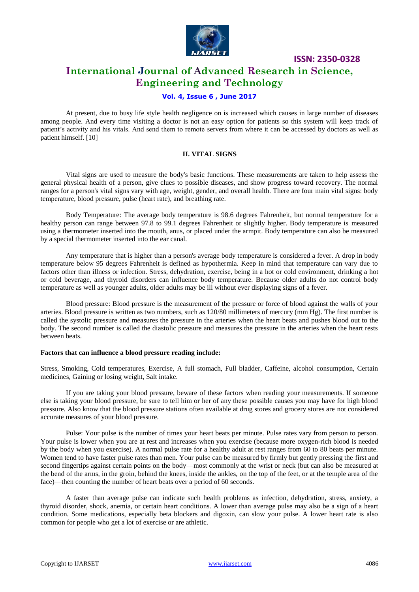

## **International Journal of Advanced Research in Science, Engineering and Technology**

### **Vol. 4, Issue 6 , June 2017**

 At present, due to busy life style health negligence on is increased which causes in large number of diseases among people. And every time visiting a doctor is not an easy option for patients so this system will keep track of patient's activity and his vitals. And send them to remote servers from where it can be accessed by doctors as well as patient himself. [10]

### **II. VITAL SIGNS**

Vital signs are used to measure the body's basic functions. These measurements are taken to help assess the general physical health of a person, give clues to possible diseases, and show progress toward recovery. The normal ranges for a person's vital signs vary with age, weight, gender, and overall health. There are four main vital signs: body temperature, blood pressure, pulse (heart rate), and breathing rate.

Body Temperature: The average body temperature is 98.6 degrees Fahrenheit, but normal temperature for a healthy person can range between 97.8 to 99.1 degrees Fahrenheit or slightly higher. Body temperature is measured using a thermometer inserted into the mouth, anus, or placed under the armpit. Body temperature can also be measured by a special thermometer inserted into the ear canal.

Any temperature that is higher than a person's average body temperature is considered a fever. A drop in body temperature below 95 degrees Fahrenheit is defined as hypothermia. Keep in mind that temperature can vary due to factors other than illness or infection. Stress, dehydration, exercise, being in a hot or cold environment, drinking a hot or cold beverage, and thyroid disorders can influence body temperature. Because older adults do not control body temperature as well as younger adults, older adults may be ill without ever displaying signs of a fever.

Blood pressure: Blood pressure is the measurement of the pressure or force of blood against the walls of your arteries. Blood pressure is written as two numbers, such as 120/80 millimeters of mercury (mm Hg). The first number is called the systolic pressure and measures the pressure in the arteries when the heart beats and pushes blood out to the body. The second number is called the diastolic pressure and measures the pressure in the arteries when the heart rests between beats.

### **Factors that can influence a blood pressure reading include:**

Stress, Smoking, Cold temperatures, Exercise, A full stomach, Full bladder, Caffeine, alcohol consumption, Certain medicines, Gaining or losing weight, Salt intake.

If you are taking your blood pressure, beware of these factors when reading your measurements. If someone else is taking your blood pressure, be sure to tell him or her of any these possible causes you may have for high blood pressure. Also know that the blood pressure stations often available at drug stores and grocery stores are not considered accurate measures of your blood pressure.

Pulse: Your pulse is the number of times your heart beats per minute. Pulse rates vary from person to person. Your pulse is lower when you are at rest and increases when you exercise (because more oxygen-rich blood is needed by the body when you exercise). A normal pulse rate for a healthy adult at rest ranges from 60 to 80 beats per minute. Women tend to have faster pulse rates than men. Your pulse can be measured by firmly but gently pressing the first and second fingertips against certain points on the body—most commonly at the wrist or neck (but can also be measured at the bend of the arms, in the groin, behind the knees, inside the ankles, on the top of the feet, or at the temple area of the face)—then counting the number of heart beats over a period of 60 seconds.

A faster than average pulse can indicate such health problems as infection, dehydration, stress, anxiety, a thyroid disorder, shock, anemia, or certain heart conditions. A lower than average pulse may also be a sign of a heart condition. Some medications, especially beta blockers and digoxin, can slow your pulse. A lower heart rate is also common for people who get a lot of exercise or are athletic.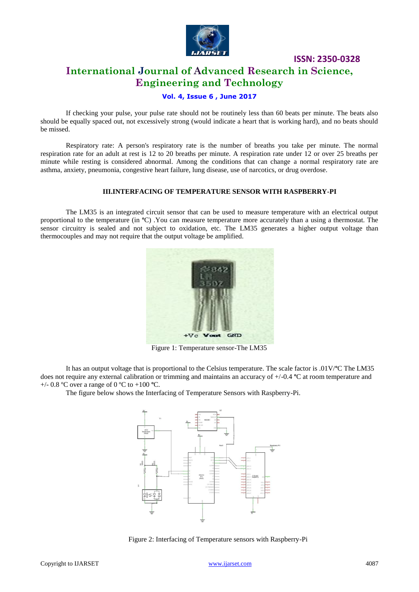

## **International Journal of Advanced Research in Science, Engineering and Technology**

### **Vol. 4, Issue 6 , June 2017**

If checking your pulse, your pulse rate should not be routinely less than 60 beats per minute. The beats also should be equally spaced out, not excessively strong (would indicate a heart that is working hard), and no beats should be missed.

Respiratory rate: A person's respiratory rate is the number of breaths you take per minute. The normal respiration rate for an adult at rest is 12 to 20 breaths per minute. A respiration rate under 12 or over 25 breaths per minute while resting is considered abnormal. Among the conditions that can change a normal respiratory rate are asthma, anxiety, pneumonia, congestive heart failure, lung disease, use of narcotics, or drug overdose.

### **III.INTERFACING OF TEMPERATURE SENSOR WITH RASPBERRY-PI**

The LM35 is an integrated circuit sensor that can be used to measure temperature with an electrical output proportional to the temperature (in **º**C) .You can measure temperature more accurately than a using a thermostat. The sensor circuitry is sealed and not subject to oxidation, etc. The LM35 generates a higher output voltage than thermocouples and may not require that the output voltage be amplified.



Figure 1: Temperature sensor-The LM35

 It has an output voltage that is proportional to the Celsius temperature. The scale factor is .01V/**º**C The LM35 does not require any external calibration or trimming and maintains an accuracy of +/-0.4 **º**C at room temperature and +/- 0.8 ºC over a range of 0 ºC to +100 **º**C.

The figure below shows the Interfacing of Temperature Sensors with Raspberry-Pi.



Figure 2: Interfacing of Temperature sensors with Raspberry-Pi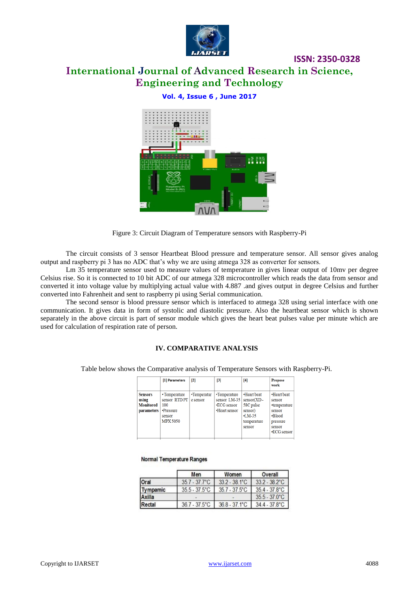

# **International Journal of Advanced Research in Science, Engineering and Technology**

### **Vol. 4, Issue 6 , June 2017**



Figure 3: Circuit Diagram of Temperature sensors with Raspberry-Pi

The circuit consists of 3 sensor Heartbeat Blood pressure and temperature sensor. All sensor gives analog output and raspberry pi 3 has no ADC that's why we are using atmega 328 as converter for sensors.

Lm 35 temperature sensor used to measure values of temperature in gives linear output of 10mv per degree Celsius rise. So it is connected to 10 bit ADC of our atmega 328 microcontroller which reads the data from sensor and converted it into voltage value by multiplying actual value with 4.887 .and gives output in degree Celsius and further converted into Fahrenheit and sent to raspberry pi using Serial communication.

The second sensor is blood pressure sensor which is interfaced to atmega 328 using serial interface with one communication. It gives data in form of systolic and diastolic pressure. Also the heartbeat sensor which is shown separately in the above circuit is part of sensor module which gives the heart beat pulses value per minute which are used for calculation of respiration rate of person.

### **IV. COMPARATIVE ANALYSIS**

Table below shows the Comparative analysis of Temperature Sensors with Raspberry-Pi.

|                                                                  | [1] Parameters                                                                  | $\mathbf{[2]}$          | $\mathbb{E}$                                                        | [4]                                                                                       | <b>Propose</b><br>work                                                                         |
|------------------------------------------------------------------|---------------------------------------------------------------------------------|-------------------------|---------------------------------------------------------------------|-------------------------------------------------------------------------------------------|------------------------------------------------------------------------------------------------|
| <b>Sensors</b><br>using<br><b>Monitored</b><br><i>parameters</i> | • Temperature<br>sensor RTD PT<br>100<br>•Pressure<br>sensor<br><b>MPX 5050</b> | •Temperatur<br>e sensor | •Temperature<br>sensor LM-35<br>$\cdot$ ECG sensor<br>•Heart sensor | •Heart beat<br>$sensor(XD -$<br>58C pulse<br>sensor)<br>$-LM-35$<br>temperature<br>sensor | •Heart beat<br>sensor<br>•temperature<br>sensor<br>•Blood<br>pressure<br>sensor<br>•ECG sensor |

#### **Normal Temperature Ranges**

|             | Men                     | Women                  | Overall                 |  |
|-------------|-------------------------|------------------------|-------------------------|--|
| <b>Oral</b> | $35.7 - 37.7^{\circ}$ C | $33.2 - 38.1^{\circ}C$ | $332 - 382^{\circ}C$    |  |
| Tympamic    | $35.5 - 37.5$ °C        | $35.7 - 37.5$ °C       | $35.4 - 37.8^{\circ}$ C |  |
| Axilla      |                         |                        | $35.5 - 37.0^{\circ}$ C |  |
| Rectal      | $36.7 - 37.5^{\circ}$ C | $36.8 - 37.1^{\circ}C$ | $34.4 - 37.8^{\circ}C$  |  |